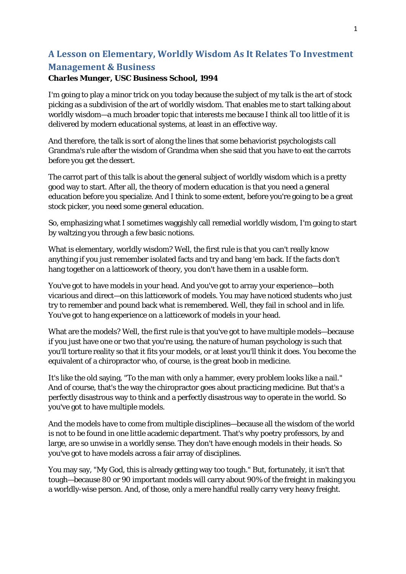## **A Lesson on Elementary, Worldly Wisdom As It Relates To Investment Management & Business**

## **Charles Munger, USC Business School, 1994**

I'm going to play a minor trick on you today because the subject of my talk is the art of stock picking as a subdivision of the art of worldly wisdom. That enables me to start talking about worldly wisdom—a much broader topic that interests me because I think all too little of it is delivered by modern educational systems, at least in an effective way.

And therefore, the talk is sort of along the lines that some behaviorist psychologists call Grandma's rule after the wisdom of Grandma when she said that you have to eat the carrots before you get the dessert.

The carrot part of this talk is about the general subject of worldly wisdom which is a pretty good way to start. After all, the theory of modern education is that you need a general education before you specialize. And I think to some extent, before you're going to be a great stock picker, you need some general education.

So, emphasizing what I sometimes waggishly call remedial worldly wisdom, I'm going to start by waltzing you through a few basic notions.

What is elementary, worldly wisdom? Well, the first rule is that you can't really know anything if you just remember isolated facts and try and bang 'em back. If the facts don't hang together on a latticework of theory, you don't have them in a usable form.

You've got to have models in your head. And you've got to array your experience—both vicarious and direct—on this latticework of models. You may have noticed students who just try to remember and pound back what is remembered. Well, they fail in school and in life. You've got to hang experience on a latticework of models in your head.

What are the models? Well, the first rule is that you've got to have multiple models—because if you just have one or two that you're using, the nature of human psychology is such that you'll torture reality so that it fits your models, or at least you'll think it does. You become the equivalent of a chiropractor who, of course, is the great boob in medicine.

It's like the old saying, "To the man with only a hammer, every problem looks like a nail." And of course, that's the way the chiropractor goes about practicing medicine. But that's a perfectly disastrous way to think and a perfectly disastrous way to operate in the world. So you've got to have multiple models.

And the models have to come from multiple disciplines—because all the wisdom of the world is not to be found in one little academic department. That's why poetry professors, by and large, are so unwise in a worldly sense. They don't have enough models in their heads. So you've got to have models across a fair array of disciplines.

You may say, "My God, this is already getting way too tough." But, fortunately, it isn't that tough—because 80 or 90 important models will carry about 90% of the freight in making you a worldly-wise person. And, of those, only a mere handful really carry very heavy freight.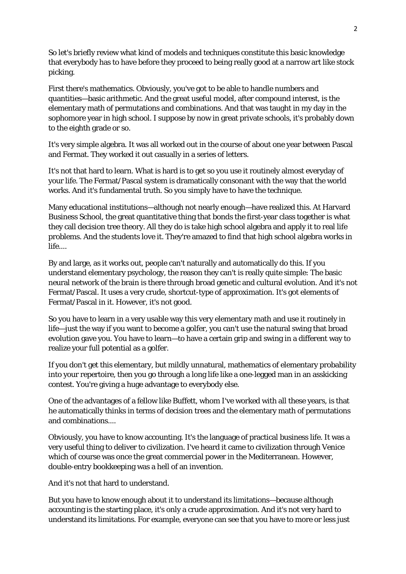So let's briefly review what kind of models and techniques constitute this basic knowledge that everybody has to have before they proceed to being really good at a narrow art like stock picking.

First there's mathematics. Obviously, you've got to be able to handle numbers and quantities—basic arithmetic. And the great useful model, after compound interest, is the elementary math of permutations and combinations. And that was taught in my day in the sophomore year in high school. I suppose by now in great private schools, it's probably down to the eighth grade or so.

It's very simple algebra. It was all worked out in the course of about one year between Pascal and Fermat. They worked it out casually in a series of letters.

It's not that hard to learn. What is hard is to get so you use it routinely almost everyday of your life. The Fermat/Pascal system is dramatically consonant with the way that the world works. And it's fundamental truth. So you simply have to have the technique.

Many educational institutions—although not nearly enough—have realized this. At Harvard Business School, the great quantitative thing that bonds the first-year class together is what they call decision tree theory. All they do is take high school algebra and apply it to real life problems. And the students love it. They're amazed to find that high school algebra works in life....

By and large, as it works out, people can't naturally and automatically do this. If you understand elementary psychology, the reason they can't is really quite simple: The basic neural network of the brain is there through broad genetic and cultural evolution. And it's not Fermat/Pascal. It uses a very crude, shortcut-type of approximation. It's got elements of Fermat/Pascal in it. However, it's not good.

So you have to learn in a very usable way this very elementary math and use it routinely in life—just the way if you want to become a golfer, you can't use the natural swing that broad evolution gave you. You have to learn—to have a certain grip and swing in a different way to realize your full potential as a golfer.

If you don't get this elementary, but mildly unnatural, mathematics of elementary probability into your repertoire, then you go through a long life like a one-legged man in an asskicking contest. You're giving a huge advantage to everybody else.

One of the advantages of a fellow like Buffett, whom I've worked with all these years, is that he automatically thinks in terms of decision trees and the elementary math of permutations and combinations....

Obviously, you have to know accounting. It's the language of practical business life. It was a very useful thing to deliver to civilization. I've heard it came to civilization through Venice which of course was once the great commercial power in the Mediterranean. However, double-entry bookkeeping was a hell of an invention.

And it's not that hard to understand.

But you have to know enough about it to understand its limitations—because although accounting is the starting place, it's only a crude approximation. And it's not very hard to understand its limitations. For example, everyone can see that you have to more or less just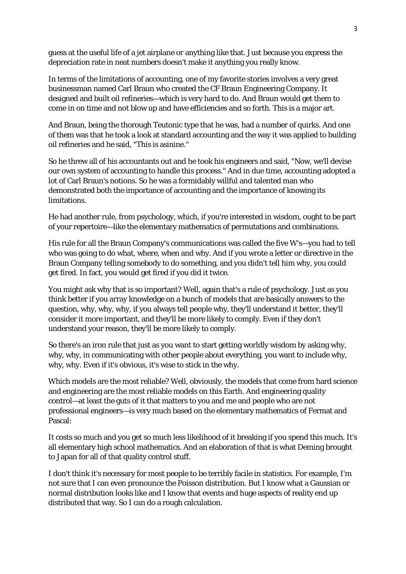guess at the useful life of a jet airplane or anything like that. Just because you express the depreciation rate in neat numbers doesn't make it anything you really know.

In terms of the limitations of accounting, one of my favorite stories involves a very great businessman named Carl Braun who created the CF Braun Engineering Company. It designed and built oil refineries—which is very hard to do. And Braun would get them to come in on time and not blow up and have efficiencies and so forth. This is a major art.

And Braun, being the thorough Teutonic type that he was, had a number of quirks. And one of them was that he took a look at standard accounting and the way it was applied to building oil refineries and he said, "This is asinine."

So he threw all of his accountants out and he took his engineers and said, "Now, we'll devise our own system of accounting to handle this process." And in due time, accounting adopted a lot of Carl Braun's notions. So he was a formidably willful and talented man who demonstrated both the importance of accounting and the importance of knowing its limitations.

He had another rule, from psychology, which, if you're interested in wisdom, ought to be part of your repertoire—like the elementary mathematics of permutations and combinations.

His rule for all the Braun Company's communications was called the five W's—you had to tell who was going to do what, where, when and why. And if you wrote a letter or directive in the Braun Company telling somebody to do something, and you didn't tell him why, you could get fired. In fact, you would get fired if you did it twice.

You might ask why that is so important? Well, again that's a rule of psychology. Just as you think better if you array knowledge on a bunch of models that are basically answers to the question, why, why, why, if you always tell people why, they'll understand it better, they'll consider it more important, and they'll be more likely to comply. Even if they don't understand your reason, they'll be more likely to comply.

So there's an iron rule that just as you want to start getting worldly wisdom by asking why, why, why, in communicating with other people about everything, you want to include why, why, why. Even if it's obvious, it's wise to stick in the why.

Which models are the most reliable? Well, obviously, the models that come from hard science and engineering are the most reliable models on this Earth. And engineering quality control—at least the guts of it that matters to you and me and people who are not professional engineers—is very much based on the elementary mathematics of Fermat and Pascal:

It costs so much and you get so much less likelihood of it breaking if you spend this much. It's all elementary high school mathematics. And an elaboration of that is what Deming brought to Japan for all of that quality control stuff.

I don't think it's necessary for most people to be terribly facile in statistics. For example, I'm not sure that I can even pronounce the Poisson distribution. But I know what a Gaussian or normal distribution looks like and I know that events and huge aspects of reality end up distributed that way. So I can do a rough calculation.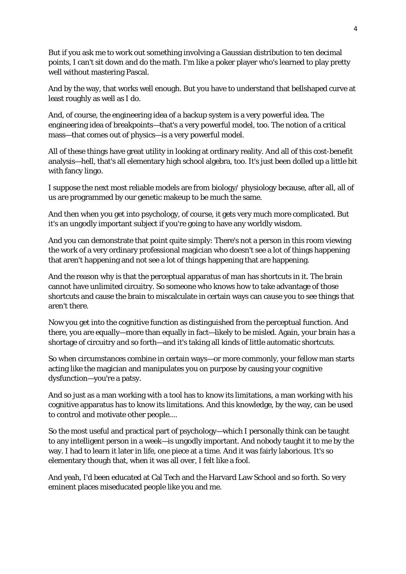But if you ask me to work out something involving a Gaussian distribution to ten decimal points, I can't sit down and do the math. I'm like a poker player who's learned to play pretty well without mastering Pascal.

And by the way, that works well enough. But you have to understand that bellshaped curve at least roughly as well as I do.

And, of course, the engineering idea of a backup system is a very powerful idea. The engineering idea of breakpoints—that's a very powerful model, too. The notion of a critical mass—that comes out of physics—is a very powerful model.

All of these things have great utility in looking at ordinary reality. And all of this cost-benefit analysis—hell, that's all elementary high school algebra, too. It's just been dolled up a little bit with fancy lingo.

I suppose the next most reliable models are from biology/ physiology because, after all, all of us are programmed by our genetic makeup to be much the same.

And then when you get into psychology, of course, it gets very much more complicated. But it's an ungodly important subject if you're going to have any worldly wisdom.

And you can demonstrate that point quite simply: There's not a person in this room viewing the work of a very ordinary professional magician who doesn't see a lot of things happening that aren't happening and not see a lot of things happening that are happening.

And the reason why is that the perceptual apparatus of man has shortcuts in it. The brain cannot have unlimited circuitry. So someone who knows how to take advantage of those shortcuts and cause the brain to miscalculate in certain ways can cause you to see things that aren't there.

Now you get into the cognitive function as distinguished from the perceptual function. And there, you are equally—more than equally in fact—likely to be misled. Again, your brain has a shortage of circuitry and so forth—and it's taking all kinds of little automatic shortcuts.

So when circumstances combine in certain ways—or more commonly, your fellow man starts acting like the magician and manipulates you on purpose by causing your cognitive dysfunction—you're a patsy.

And so just as a man working with a tool has to know its limitations, a man working with his cognitive apparatus has to know its limitations. And this knowledge, by the way, can be used to control and motivate other people....

So the most useful and practical part of psychology—which I personally think can be taught to any intelligent person in a week—is ungodly important. And nobody taught it to me by the way. I had to learn it later in life, one piece at a time. And it was fairly laborious. It's so elementary though that, when it was all over, I felt like a fool.

And yeah, I'd been educated at Cal Tech and the Harvard Law School and so forth. So very eminent places miseducated people like you and me.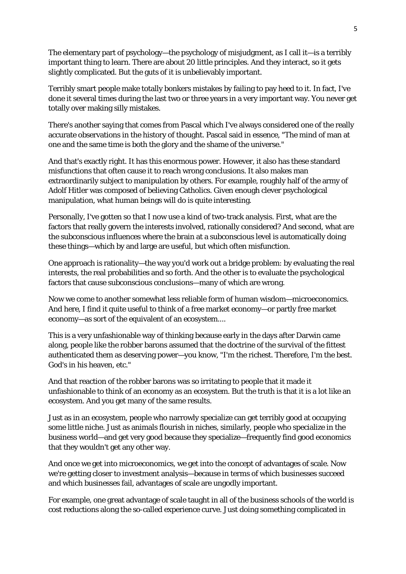The elementary part of psychology—the psychology of misjudgment, as I call it—is a terribly important thing to learn. There are about 20 little principles. And they interact, so it gets slightly complicated. But the guts of it is unbelievably important.

Terribly smart people make totally bonkers mistakes by failing to pay heed to it. In fact, I've done it several times during the last two or three years in a very important way. You never get totally over making silly mistakes.

There's another saying that comes from Pascal which I've always considered one of the really accurate observations in the history of thought. Pascal said in essence, "The mind of man at one and the same time is both the glory and the shame of the universe."

And that's exactly right. It has this enormous power. However, it also has these standard misfunctions that often cause it to reach wrong conclusions. It also makes man extraordinarily subject to manipulation by others. For example, roughly half of the army of Adolf Hitler was composed of believing Catholics. Given enough clever psychological manipulation, what human beings will do is quite interesting.

Personally, I've gotten so that I now use a kind of two-track analysis. First, what are the factors that really govern the interests involved, rationally considered? And second, what are the subconscious influences where the brain at a subconscious level is automatically doing these things—which by and large are useful, but which often misfunction.

One approach is rationality—the way you'd work out a bridge problem: by evaluating the real interests, the real probabilities and so forth. And the other is to evaluate the psychological factors that cause subconscious conclusions—many of which are wrong.

Now we come to another somewhat less reliable form of human wisdom—microeconomics. And here, I find it quite useful to think of a free market economy—or partly free market economy—as sort of the equivalent of an ecosystem....

This is a very unfashionable way of thinking because early in the days after Darwin came along, people like the robber barons assumed that the doctrine of the survival of the fittest authenticated them as deserving power—you know, "I'm the richest. Therefore, I'm the best. God's in his heaven, etc."

And that reaction of the robber barons was so irritating to people that it made it unfashionable to think of an economy as an ecosystem. But the truth is that it is a lot like an ecosystem. And you get many of the same results.

Just as in an ecosystem, people who narrowly specialize can get terribly good at occupying some little niche. Just as animals flourish in niches, similarly, people who specialize in the business world—and get very good because they specialize—frequently find good economics that they wouldn't get any other way.

And once we get into microeconomics, we get into the concept of advantages of scale. Now we're getting closer to investment analysis—because in terms of which businesses succeed and which businesses fail, advantages of scale are ungodly important.

For example, one great advantage of scale taught in all of the business schools of the world is cost reductions along the so-called experience curve. Just doing something complicated in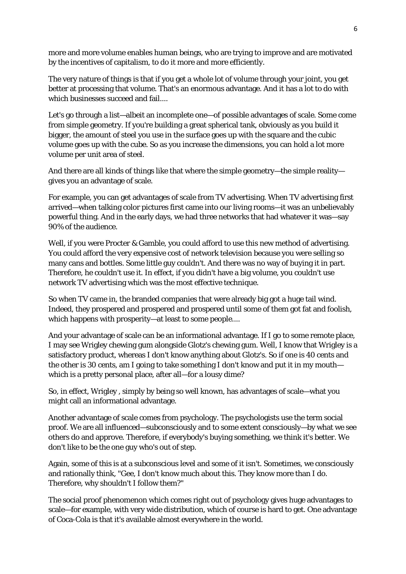more and more volume enables human beings, who are trying to improve and are motivated by the incentives of capitalism, to do it more and more efficiently.

The very nature of things is that if you get a whole lot of volume through your joint, you get better at processing that volume. That's an enormous advantage. And it has a lot to do with which businesses succeed and fail....

Let's go through a list—albeit an incomplete one—of possible advantages of scale. Some come from simple geometry. If you're building a great spherical tank, obviously as you build it bigger, the amount of steel you use in the surface goes up with the square and the cubic volume goes up with the cube. So as you increase the dimensions, you can hold a lot more volume per unit area of steel.

And there are all kinds of things like that where the simple geometry—the simple reality gives you an advantage of scale.

For example, you can get advantages of scale from TV advertising. When TV advertising first arrived—when talking color pictures first came into our living rooms—it was an unbelievably powerful thing. And in the early days, we had three networks that had whatever it was—say 90% of the audience.

Well, if you were Procter & Gamble, you could afford to use this new method of advertising. You could afford the very expensive cost of network television because you were selling so many cans and bottles. Some little guy couldn't. And there was no way of buying it in part. Therefore, he couldn't use it. In effect, if you didn't have a big volume, you couldn't use network TV advertising which was the most effective technique.

So when TV came in, the branded companies that were already big got a huge tail wind. Indeed, they prospered and prospered and prospered until some of them got fat and foolish, which happens with prosperity—at least to some people....

And your advantage of scale can be an informational advantage. If I go to some remote place, I may see Wrigley chewing gum alongside Glotz's chewing gum. Well, I know that Wrigley is a satisfactory product, whereas I don't know anything about Glotz's. So if one is 40 cents and the other is 30 cents, am I going to take something I don't know and put it in my mouth which is a pretty personal place, after all—for a lousy dime?

So, in effect, Wrigley , simply by being so well known, has advantages of scale—what you might call an informational advantage.

Another advantage of scale comes from psychology. The psychologists use the term social proof. We are all influenced—subconsciously and to some extent consciously—by what we see others do and approve. Therefore, if everybody's buying something, we think it's better. We don't like to be the one guy who's out of step.

Again, some of this is at a subconscious level and some of it isn't. Sometimes, we consciously and rationally think, "Gee, I don't know much about this. They know more than I do. Therefore, why shouldn't I follow them?"

The social proof phenomenon which comes right out of psychology gives huge advantages to scale—for example, with very wide distribution, which of course is hard to get. One advantage of Coca-Cola is that it's available almost everywhere in the world.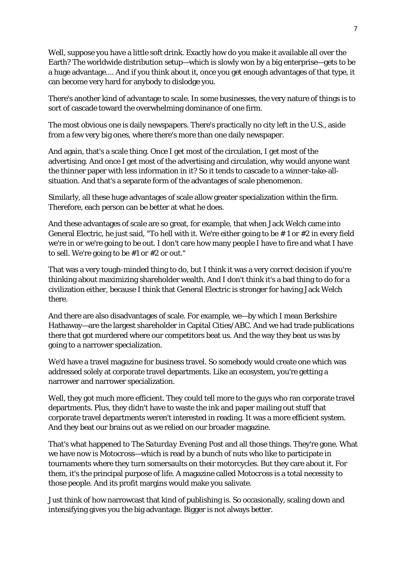Well, suppose you have a little soft drink. Exactly how do you make it available all over the Earth? The worldwide distribution setup—which is slowly won by a big enterprise—gets to be a huge advantage.... And if you think about it, once you get enough advantages of that type, it can become very hard for anybody to dislodge you.

There's another kind of advantage to scale. In some businesses, the very nature of things is to sort of cascade toward the overwhelming dominance of one firm.

The most obvious one is daily newspapers. There's practically no city left in the U.S., aside from a few very big ones, where there's more than one daily newspaper.

And again, that's a scale thing. Once I get most of the circulation, I get most of the advertising. And once I get most of the advertising and circulation, why would anyone want the thinner paper with less information in it? So it tends to cascade to a winner-take-allsituation. And that's a separate form of the advantages of scale phenomenon.

Similarly, all these huge advantages of scale allow greater specialization within the firm. Therefore, each person can be better at what he does.

And these advantages of scale are so great, for example, that when Jack Welch came into General Electric, he just said, "To hell with it. We're either going to be # 1 or #2 in every field we're in or we're going to be out. I don't care how many people I have to fire and what I have to sell. We're going to be #1 or #2 or out."

That was a very tough-minded thing to do, but I think it was a very correct decision if you're thinking about maximizing shareholder wealth. And I don't think it's a bad thing to do for a civilization either, because I think that General Electric is stronger for having Jack Welch there.

And there are also disadvantages of scale. For example, we—by which I mean Berkshire Hathaway—are the largest shareholder in Capital Cities/ABC. And we had trade publications there that got murdered where our competitors beat us. And the way they beat us was by going to a narrower specialization.

We'd have a travel magazine for business travel. So somebody would create one which was addressed solely at corporate travel departments. Like an ecosystem, you're getting a narrower and narrower specialization.

Well, they got much more efficient. They could tell more to the guys who ran corporate travel departments. Plus, they didn't have to waste the ink and paper mailing out stuff that corporate travel departments weren't interested in reading. It was a more efficient system. And they beat our brains out as we relied on our broader magazine.

That's what happened to *The Saturday Evening Post* and all those things. They're gone. What we have now is *Motocross*—which is read by a bunch of nuts who like to participate in tournaments where they turn somersaults on their motorcycles. But they care about it. For them, it's the principal purpose of life. A magazine called *Motocross* is a total necessity to those people. And its profit margins would make you salivate.

Just think of how narrowcast that kind of publishing is. So occasionally, scaling down and intensifying gives you the big advantage. Bigger is not always better.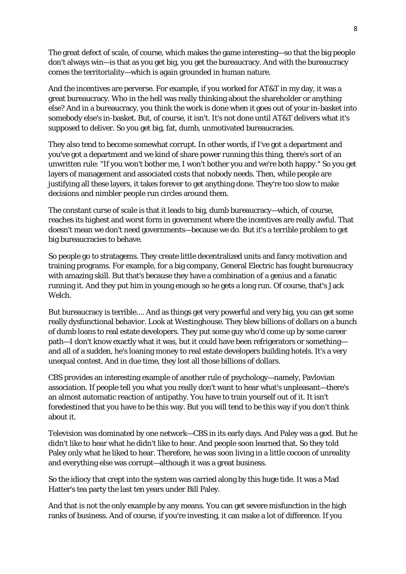The great defect of scale, of course, which makes the game interesting—so that the big people don't always win—is that as you get big, you get the bureaucracy. And with the bureaucracy comes the territoriality—which is again grounded in human nature.

And the incentives are perverse. For example, if you worked for AT&T in my day, it was a great bureaucracy. Who in the hell was really thinking about the shareholder or anything else? And in a bureaucracy, you think the work is done when it goes out of your in-basket into somebody else's in-basket. But, of course, it isn't. It's not done until AT&T delivers what it's supposed to deliver. So you get big, fat, dumb, unmotivated bureaucracies.

They also tend to become somewhat corrupt. In other words, if I've got a department and you've got a department and we kind of share power running this thing, there's sort of an unwritten rule: "If you won't bother me, I won't bother you and we're both happy." So you get layers of management and associated costs that nobody needs. Then, while people are justifying all these layers, it takes forever to get anything done. They're too slow to make decisions and nimbler people run circles around them.

The constant curse of scale is that it leads to big, dumb bureaucracy—which, of course, reaches its highest and worst form in government where the incentives are really awful. That doesn't mean we don't need governments—because we do. But it's a terrible problem to get big bureaucracies to behave.

So people go to stratagems. They create little decentralized units and fancy motivation and training programs. For example, for a big company, General Electric has fought bureaucracy with amazing skill. But that's because they have a combination of a genius and a fanatic running it. And they put him in young enough so he gets a long run. Of course, that's Jack Welch.

But bureaucracy is terrible.... And as things get very powerful and very big, you can get some really dysfunctional behavior. Look at Westinghouse. They blew billions of dollars on a bunch of dumb loans to real estate developers. They put some guy who'd come up by some career path—I don't know exactly what it was, but it could have been refrigerators or something and all of a sudden, he's loaning money to real estate developers building hotels. It's a very unequal contest. And in due time, they lost all those billions of dollars.

CBS provides an interesting example of another rule of psychology—namely, Pavlovian association. If people tell you what you really don't want to hear what's unpleasant—there's an almost automatic reaction of antipathy. You have to train yourself out of it. It isn't foredestined that you have to be this way. But you will tend to be this way if you don't think about it.

Television was dominated by one network—CBS in its early days. And Paley was a god. But he didn't like to hear what he didn't like to hear. And people soon learned that. So they told Paley only what he liked to hear. Therefore, he was soon living in a little cocoon of unreality and everything else was corrupt—although it was a great business.

So the idiocy that crept into the system was carried along by this huge tide. It was a Mad Hatter's tea party the last ten years under Bill Paley.

And that is not the only example by any means. You can get severe misfunction in the high ranks of business. And of course, if you're investing, it can make a lot of difference. If you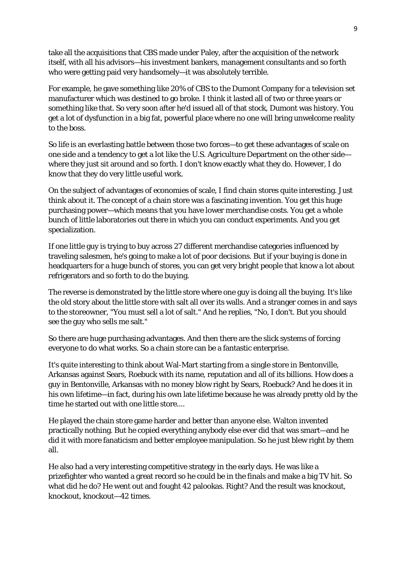take all the acquisitions that CBS made under Paley, after the acquisition of the network itself, with all his advisors—his investment bankers, management consultants and so forth who were getting paid very handsomely—it was absolutely terrible.

For example, he gave something like 20% of CBS to the Dumont Company for a television set manufacturer which was destined to go broke. I think it lasted all of two or three years or something like that. So very soon after he'd issued all of that stock, Dumont was history. You get a lot of dysfunction in a big fat, powerful place where no one will bring unwelcome reality to the boss.

So life is an everlasting battle between those two forces—to get these advantages of scale on one side and a tendency to get a lot like the U.S. Agriculture Department on the other side where they just sit around and so forth. I don't know exactly what they do. However, I do know that they do very little useful work.

On the subject of advantages of economies of scale, I find chain stores quite interesting. Just think about it. The concept of a chain store was a fascinating invention. You get this huge purchasing power—which means that you have lower merchandise costs. You get a whole bunch of little laboratories out there in which you can conduct experiments. And you get specialization.

If one little guy is trying to buy across 27 different merchandise categories influenced by traveling salesmen, he's going to make a lot of poor decisions. But if your buying is done in headquarters for a huge bunch of stores, you can get very bright people that know a lot about refrigerators and so forth to do the buying.

The reverse is demonstrated by the little store where one guy is doing all the buying. It's like the old story about the little store with salt all over its walls. And a stranger comes in and says to the storeowner, "You must sell a lot of salt." And he replies, "No, I don't. But you should see the guy who sells me salt."

So there are huge purchasing advantages. And then there are the slick systems of forcing everyone to do what works. So a chain store can be a fantastic enterprise.

It's quite interesting to think about Wal-Mart starting from a single store in Bentonville, Arkansas against Sears, Roebuck with its name, reputation and all of its billions. How does a guy in Bentonville, Arkansas with no money blow right by Sears, Roebuck? And he does it in his own lifetime—in fact, during his own late lifetime because he was already pretty old by the time he started out with one little store....

He played the chain store game harder and better than anyone else. Walton invented practically nothing. But he copied everything anybody else ever did that was smart—and he did it with more fanaticism and better employee manipulation. So he just blew right by them all.

He also had a very interesting competitive strategy in the early days. He was like a prizefighter who wanted a great record so he could be in the finals and make a big TV hit. So what did he do? He went out and fought 42 palookas. Right? And the result was knockout, knockout, knockout—42 times.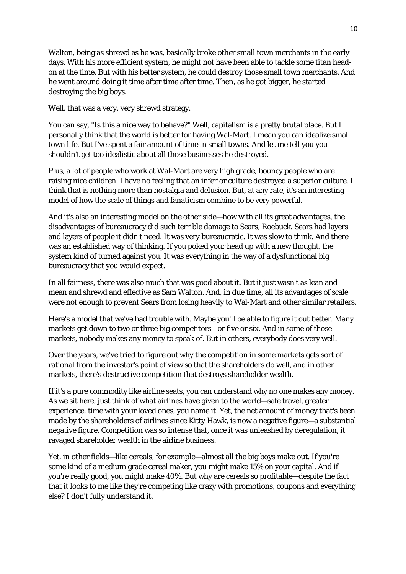Walton, being as shrewd as he was, basically broke other small town merchants in the early days. With his more efficient system, he might not have been able to tackle some titan headon at the time. But with his better system, he could destroy those small town merchants. And he went around doing it time after time after time. Then, as he got bigger, he started destroying the big boys.

Well, that was a very, very shrewd strategy.

You can say, "Is this a nice way to behave?" Well, capitalism is a pretty brutal place. But I personally think that the world is better for having Wal-Mart. I mean you can idealize small town life. But I've spent a fair amount of time in small towns. And let me tell you you shouldn't get too idealistic about all those businesses he destroyed.

Plus, a lot of people who work at Wal-Mart are very high grade, bouncy people who are raising nice children. I have no feeling that an inferior culture destroyed a superior culture. I think that is nothing more than nostalgia and delusion. But, at any rate, it's an interesting model of how the scale of things and fanaticism combine to be very powerful.

And it's also an interesting model on the other side—how with all its great advantages, the disadvantages of bureaucracy did such terrible damage to Sears, Roebuck. Sears had layers and layers of people it didn't need. It was very bureaucratic. It was slow to think. And there was an established way of thinking. If you poked your head up with a new thought, the system kind of turned against you. It was everything in the way of a dysfunctional big bureaucracy that you would expect.

In all fairness, there was also much that was good about it. But it just wasn't as lean and mean and shrewd and effective as Sam Walton. And, in due time, all its advantages of scale were not enough to prevent Sears from losing heavily to Wal-Mart and other similar retailers.

Here's a model that we've had trouble with. Maybe you'll be able to figure it out better. Many markets get down to two or three big competitors—or five or six. And in some of those markets, nobody makes any money to speak of. But in others, everybody does very well.

Over the years, we've tried to figure out why the competition in some markets gets sort of rational from the investor's point of view so that the shareholders do well, and in other markets, there's destructive competition that destroys shareholder wealth.

If it's a pure commodity like airline seats, you can understand why no one makes any money. As we sit here, just think of what airlines have given to the world—safe travel, greater experience, time with your loved ones, you name it. Yet, the net amount of money that's been made by the shareholders of airlines since Kitty Hawk, is now a negative figure—a substantial negative figure. Competition was so intense that, once it was unleashed by deregulation, it ravaged shareholder wealth in the airline business.

Yet, in other fields—like cereals, for example—almost all the big boys make out. If you're some kind of a medium grade cereal maker, you might make 15% on your capital. And if you're really good, you might make 40%. But why are cereals so profitable—despite the fact that it looks to me like they're competing like crazy with promotions, coupons and everything else? I don't fully understand it.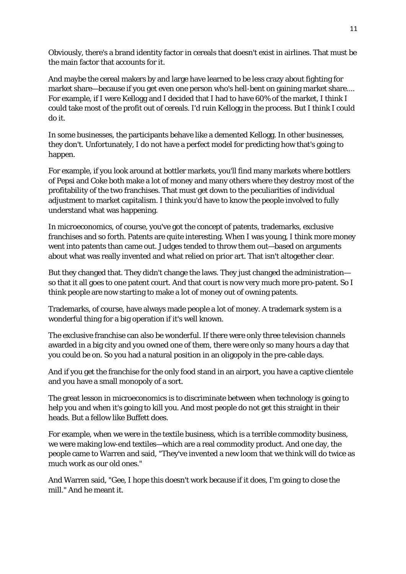Obviously, there's a brand identity factor in cereals that doesn't exist in airlines. That must be the main factor that accounts for it.

And maybe the cereal makers by and large have learned to be less crazy about fighting for market share—because if you get even one person who's hell-bent on gaining market share.... For example, if I were Kellogg and I decided that I had to have 60% of the market, I think I could take most of the profit out of cereals. I'd ruin Kellogg in the process. But I think I could do it.

In some businesses, the participants behave like a demented Kellogg. In other businesses, they don't. Unfortunately, I do not have a perfect model for predicting how that's going to happen.

For example, if you look around at bottler markets, you'll find many markets where bottlers of Pepsi and Coke both make a lot of money and many others where they destroy most of the profitability of the two franchises. That must get down to the peculiarities of individual adjustment to market capitalism. I think you'd have to know the people involved to fully understand what was happening.

In microeconomics, of course, you've got the concept of patents, trademarks, exclusive franchises and so forth. Patents are quite interesting. When I was young, I think more money went into patents than came out. Judges tended to throw them out—based on arguments about what was really invented and what relied on prior art. That isn't altogether clear.

But they changed that. They didn't change the laws. They just changed the administration so that it all goes to one patent court. And that court is now very much more pro-patent. So I think people are now starting to make a lot of money out of owning patents.

Trademarks, of course, have always made people a lot of money. A trademark system is a wonderful thing for a big operation if it's well known.

The exclusive franchise can also be wonderful. If there were only three television channels awarded in a big city and you owned one of them, there were only so many hours a day that you could be on. So you had a natural position in an oligopoly in the pre-cable days.

And if you get the franchise for the only food stand in an airport, you have a captive clientele and you have a small monopoly of a sort.

The great lesson in microeconomics is to discriminate between when technology is going to help you and when it's going to kill you. And most people do not get this straight in their heads. But a fellow like Buffett does.

For example, when we were in the textile business, which is a terrible commodity business, we were making low-end textiles—which are a real commodity product. And one day, the people came to Warren and said, "They've invented a new loom that we think will do twice as much work as our old ones."

And Warren said, "Gee, I hope this doesn't work because if it does, I'm going to close the mill." And he meant it.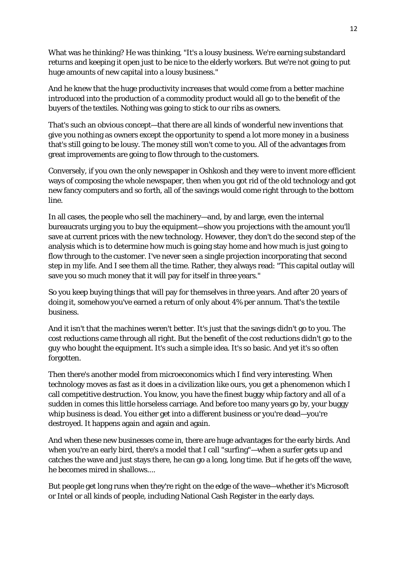What was he thinking? He was thinking, "It's a lousy business. We're earning substandard returns and keeping it open just to be nice to the elderly workers. But we're not going to put huge amounts of new capital into a lousy business."

And he knew that the huge productivity increases that would come from a better machine introduced into the production of a commodity product would all go to the benefit of the buyers of the textiles. Nothing was going to stick to our ribs as owners.

That's such an obvious concept—that there are all kinds of wonderful new inventions that give you nothing as owners except the opportunity to spend a lot more money in a business that's still going to be lousy. The money still won't come to you. All of the advantages from great improvements are going to flow through to the customers.

Conversely, if you own the only newspaper in Oshkosh and they were to invent more efficient ways of composing the whole newspaper, then when you got rid of the old technology and got new fancy computers and so forth, all of the savings would come right through to the bottom line.

In all cases, the people who sell the machinery—and, by and large, even the internal bureaucrats urging you to buy the equipment—show you projections with the amount you'll save at current prices with the new technology. However, they don't do the second step of the analysis which is to determine how much is going stay home and how much is just going to flow through to the customer. I've never seen a single projection incorporating that second step in my life. And I see them all the time. Rather, they always read: "This capital outlay will save you so much money that it will pay for itself in three years."

So you keep buying things that will pay for themselves in three years. And after 20 years of doing it, somehow you've earned a return of only about 4% per annum. That's the textile business.

And it isn't that the machines weren't better. It's just that the savings didn't go to you. The cost reductions came through all right. But the benefit of the cost reductions didn't go to the guy who bought the equipment. It's such a simple idea. It's so basic. And yet it's so often forgotten.

Then there's another model from microeconomics which I find very interesting. When technology moves as fast as it does in a civilization like ours, you get a phenomenon which I call competitive destruction. You know, you have the finest buggy whip factory and all of a sudden in comes this little horseless carriage. And before too many years go by, your buggy whip business is dead. You either get into a different business or you're dead—you're destroyed. It happens again and again and again.

And when these new businesses come in, there are huge advantages for the early birds. And when you're an early bird, there's a model that I call "surfing"—when a surfer gets up and catches the wave and just stays there, he can go a long, long time. But if he gets off the wave, he becomes mired in shallows....

But people get long runs when they're right on the edge of the wave—whether it's Microsoft or Intel or all kinds of people, including National Cash Register in the early days.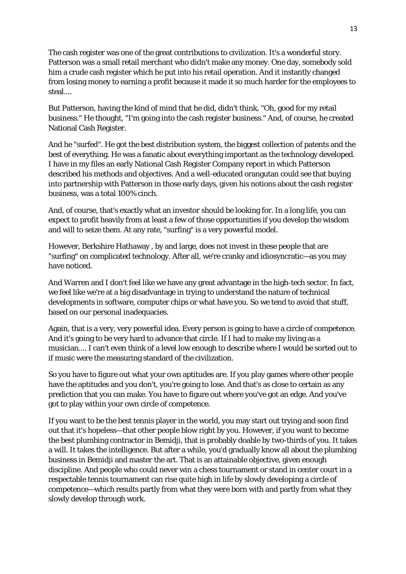The cash register was one of the great contributions to civilization. It's a wonderful story. Patterson was a small retail merchant who didn't make any money. One day, somebody sold him a crude cash register which he put into his retail operation. And it instantly changed from losing money to earning a profit because it made it so much harder for the employees to steal....

But Patterson, having the kind of mind that he did, didn't think, "Oh, good for my retail business." He thought, "I'm going into the cash register business." And, of course, he created National Cash Register.

And he "surfed". He got the best distribution system, the biggest collection of patents and the best of everything. He was a fanatic about everything important as the technology developed. I have in my files an early National Cash Register Company report in which Patterson described his methods and objectives. And a well-educated orangutan could see that buying into partnership with Patterson in those early days, given his notions about the cash register business, was a total 100% cinch.

And, of course, that's exactly what an investor should be looking for. In a long life, you can expect to profit heavily from at least a few of those opportunities if you develop the wisdom and will to seize them. At any rate, "surfing" is a very powerful model.

However, Berkshire Hathaway , by and large, does not invest in these people that are "surfing" on complicated technology. After all, we're cranky and idiosyncratic—as you may have noticed.

And Warren and I don't feel like we have any great advantage in the high-tech sector. In fact, we feel like we're at a big disadvantage in trying to understand the nature of technical developments in software, computer chips or what have you. So we tend to avoid that stuff, based on our personal inadequacies.

Again, that is a very, very powerful idea. Every person is going to have a circle of competence. And it's going to be very hard to advance that circle. If I had to make my living as a musician.... I can't even think of a level low enough to describe where I would be sorted out to if music were the measuring standard of the civilization.

So you have to figure out what your own aptitudes are. If you play games where other people have the aptitudes and you don't, you're going to lose. And that's as close to certain as any prediction that you can make. You have to figure out where you've got an edge. And you've got to play within your own circle of competence.

If you want to be the best tennis player in the world, you may start out trying and soon find out that it's hopeless—that other people blow right by you. However, if you want to become the best plumbing contractor in Bemidji, that is probably doable by two-thirds of you. It takes a will. It takes the intelligence. But after a while, you'd gradually know all about the plumbing business in Bemidji and master the art. That is an attainable objective, given enough discipline. And people who could never win a chess tournament or stand in center court in a respectable tennis tournament can rise quite high in life by slowly developing a circle of competence—which results partly from what they were born with and partly from what they slowly develop through work.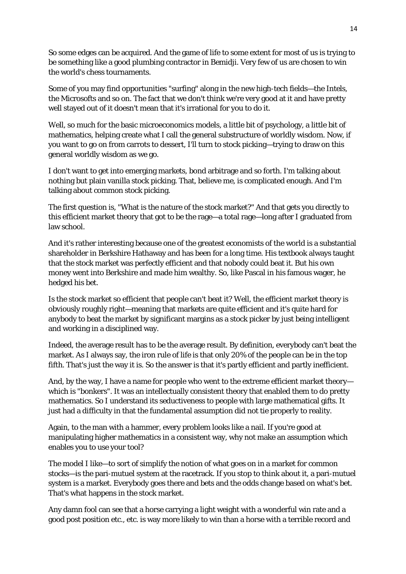So some edges can be acquired. And the game of life to some extent for most of us is trying to be something like a good plumbing contractor in Bemidji. Very few of us are chosen to win the world's chess tournaments.

Some of you may find opportunities "surfing" along in the new high-tech fields—the Intels, the Microsofts and so on. The fact that we don't think we're very good at it and have pretty well stayed out of it doesn't mean that it's irrational for you to do it.

Well, so much for the basic microeconomics models, a little bit of psychology, a little bit of mathematics, helping create what I call the general substructure of worldly wisdom. Now, if you want to go on from carrots to dessert, I'll turn to stock picking—trying to draw on this general worldly wisdom as we go.

I don't want to get into emerging markets, bond arbitrage and so forth. I'm talking about nothing but plain vanilla stock picking. That, believe me, is complicated enough. And I'm talking about common stock picking.

The first question is, "What is the nature of the stock market?" And that gets you directly to this efficient market theory that got to be the rage—a total rage—long after I graduated from law school.

And it's rather interesting because one of the greatest economists of the world is a substantial shareholder in Berkshire Hathaway and has been for a long time. His textbook always taught that the stock market was perfectly efficient and that nobody could beat it. But his own money went into Berkshire and made him wealthy. So, like Pascal in his famous wager, he hedged his bet.

Is the stock market so efficient that people can't beat it? Well, the efficient market theory is obviously roughly right—meaning that markets are quite efficient and it's quite hard for anybody to beat the market by significant margins as a stock picker by just being intelligent and working in a disciplined way.

Indeed, the average result has to be the average result. By definition, everybody can't beat the market. As I always say, the iron rule of life is that only 20% of the people can be in the top fifth. That's just the way it is. So the answer is that it's partly efficient and partly inefficient.

And, by the way, I have a name for people who went to the extreme efficient market theory which is "bonkers". It was an intellectually consistent theory that enabled them to do pretty mathematics. So I understand its seductiveness to people with large mathematical gifts. It just had a difficulty in that the fundamental assumption did not tie properly to reality.

Again, to the man with a hammer, every problem looks like a nail. If you're good at manipulating higher mathematics in a consistent way, why not make an assumption which enables you to use your tool?

The model I like—to sort of simplify the notion of what goes on in a market for common stocks—is the pari-mutuel system at the racetrack. If you stop to think about it, a pari-mutuel system is a market. Everybody goes there and bets and the odds change based on what's bet. That's what happens in the stock market.

Any damn fool can see that a horse carrying a light weight with a wonderful win rate and a good post position etc., etc. is way more likely to win than a horse with a terrible record and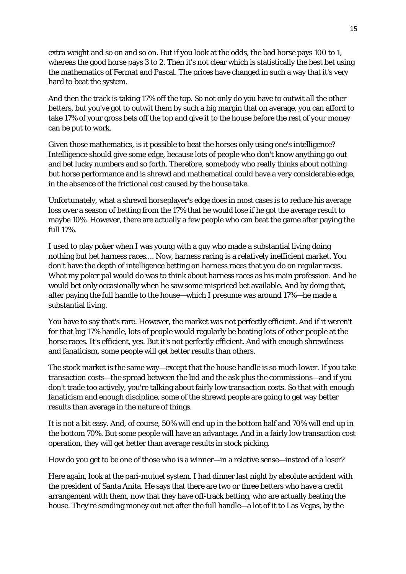extra weight and so on and so on. But if you look at the odds, the bad horse pays 100 to 1, whereas the good horse pays 3 to 2. Then it's not clear which is statistically the best bet using the mathematics of Fermat and Pascal. The prices have changed in such a way that it's very hard to beat the system.

And then the track is taking 17% off the top. So not only do you have to outwit all the other betters, but you've got to outwit them by such a big margin that on average, you can afford to take 17% of your gross bets off the top and give it to the house before the rest of your money can be put to work.

Given those mathematics, is it possible to beat the horses only using one's intelligence? Intelligence should give some edge, because lots of people who don't know anything go out and bet lucky numbers and so forth. Therefore, somebody who really thinks about nothing but horse performance and is shrewd and mathematical could have a very considerable edge, in the absence of the frictional cost caused by the house take.

Unfortunately, what a shrewd horseplayer's edge does in most cases is to reduce his average loss over a season of betting from the 17% that he would lose if he got the average result to maybe 10%. However, there are actually a few people who can beat the game after paying the full 17%.

I used to play poker when I was young with a guy who made a substantial living doing nothing but bet harness races.... Now, harness racing is a relatively inefficient market. You don't have the depth of intelligence betting on harness races that you do on regular races. What my poker pal would do was to think about harness races as his main profession. And he would bet only occasionally when he saw some mispriced bet available. And by doing that, after paying the full handle to the house—which I presume was around 17%—he made a substantial living.

You have to say that's rare. However, the market was not perfectly efficient. And if it weren't for that big 17% handle, lots of people would regularly be beating lots of other people at the horse races. It's efficient, yes. But it's not perfectly efficient. And with enough shrewdness and fanaticism, some people will get better results than others.

The stock market is the same way—except that the house handle is so much lower. If you take transaction costs—the spread between the bid and the ask plus the commissions—and if you don't trade too actively, you're talking about fairly low transaction costs. So that with enough fanaticism and enough discipline, some of the shrewd people are going to get way better results than average in the nature of things.

It is not a bit easy. And, of course, 50% will end up in the bottom half and 70% will end up in the bottom 70%. But some people will have an advantage. And in a fairly low transaction cost operation, they will get better than average results in stock picking.

How do you get to be one of those who is a winner—in a relative sense—instead of a loser?

Here again, look at the pari-mutuel system. I had dinner last night by absolute accident with the president of Santa Anita. He says that there are two or three betters who have a credit arrangement with them, now that they have off-track betting, who are actually beating the house. They're sending money out net after the full handle—a lot of it to Las Vegas, by the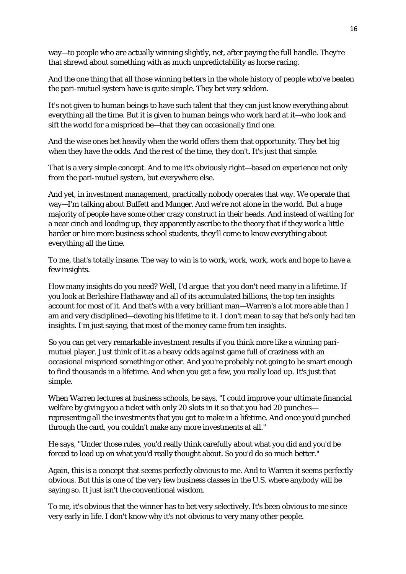way—to people who are actually winning slightly, net, after paying the full handle. They're that shrewd about something with as much unpredictability as horse racing.

And the one thing that all those winning betters in the whole history of people who've beaten the pari-mutuel system have is quite simple. They bet very seldom.

It's not given to human beings to have such talent that they can just know everything about everything all the time. But it is given to human beings who work hard at it—who look and sift the world for a mispriced be—that they can occasionally find one.

And the wise ones bet heavily when the world offers them that opportunity. They bet big when they have the odds. And the rest of the time, they don't. It's just that simple.

That is a very simple concept. And to me it's obviously right—based on experience not only from the pari-mutuel system, but everywhere else.

And yet, in investment management, practically nobody operates that way. We operate that way—I'm talking about Buffett and Munger. And we're not alone in the world. But a huge majority of people have some other crazy construct in their heads. And instead of waiting for a near cinch and loading up, they apparently ascribe to the theory that if they work a little harder or hire more business school students, they'll come to know everything about everything all the time.

To me, that's totally insane. The way to win is to work, work, work, work and hope to have a few insights.

How many insights do you need? Well, I'd argue: that you don't need many in a lifetime. If you look at Berkshire Hathaway and all of its accumulated billions, the top ten insights account for most of it. And that's with a very brilliant man—Warren's a lot more able than I am and very disciplined—devoting his lifetime to it. I don't mean to say that he's only had ten insights. I'm just saying, that most of the money came from ten insights.

So you can get very remarkable investment results if you think more like a winning parimutuel player. Just think of it as a heavy odds against game full of craziness with an occasional mispriced something or other. And you're probably not going to be smart enough to find thousands in a lifetime. And when you get a few, you really load up. It's just that simple.

When Warren lectures at business schools, he says, "I could improve your ultimate financial welfare by giving you a ticket with only 20 slots in it so that you had 20 punches representing all the investments that you got to make in a lifetime. And once you'd punched through the card, you couldn't make any more investments at all."

He says, "Under those rules, you'd really think carefully about what you did and you'd be forced to load up on what you'd really thought about. So you'd do so much better."

Again, this is a concept that seems perfectly obvious to me. And to Warren it seems perfectly obvious. But this is one of the very few business classes in the U.S. where anybody will be saying so. It just isn't the conventional wisdom.

To me, it's obvious that the winner has to bet very selectively. It's been obvious to me since very early in life. I don't know why it's not obvious to very many other people.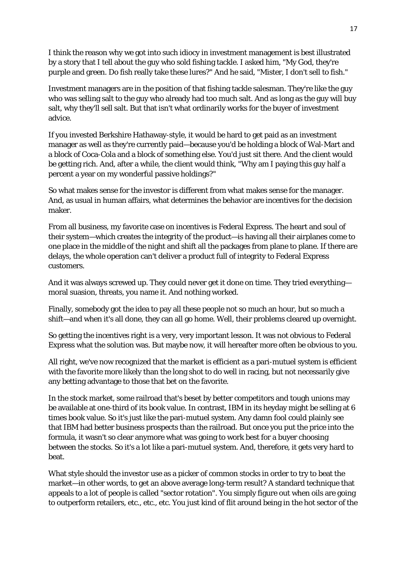I think the reason why we got into such idiocy in investment management is best illustrated by a story that I tell about the guy who sold fishing tackle. I asked him, "My God, they're purple and green. Do fish really take these lures?" And he said, "Mister, I don't sell to fish."

Investment managers are in the position of that fishing tackle salesman. They're like the guy who was selling salt to the guy who already had too much salt. And as long as the guy will buy salt, why they'll sell salt. But that isn't what ordinarily works for the buyer of investment advice.

If you invested Berkshire Hathaway-style, it would be hard to get paid as an investment manager as well as they're currently paid—because you'd be holding a block of Wal-Mart and a block of Coca-Cola and a block of something else. You'd just sit there. And the client would be getting rich. And, after a while, the client would think, "Why am I paying this guy half a percent a year on my wonderful passive holdings?"

So what makes sense for the investor is different from what makes sense for the manager. And, as usual in human affairs, what determines the behavior are incentives for the decision maker.

From all business, my favorite case on incentives is Federal Express. The heart and soul of their system—which creates the integrity of the product—is having all their airplanes come to one place in the middle of the night and shift all the packages from plane to plane. If there are delays, the whole operation can't deliver a product full of integrity to Federal Express customers.

And it was always screwed up. They could never get it done on time. They tried everything moral suasion, threats, you name it. And nothing worked.

Finally, somebody got the idea to pay all these people not so much an hour, but so much a shift—and when it's all done, they can all go home. Well, their problems cleared up overnight.

So getting the incentives right is a very, very important lesson. It was not obvious to Federal Express what the solution was. But maybe now, it will hereafter more often be obvious to you.

All right, we've now recognized that the market is efficient as a pari-mutuel system is efficient with the favorite more likely than the long shot to do well in racing, but not necessarily give any betting advantage to those that bet on the favorite.

In the stock market, some railroad that's beset by better competitors and tough unions may be available at one-third of its book value. In contrast, IBM in its heyday might be selling at 6 times book value. So it's just like the pari-mutuel system. Any damn fool could plainly see that IBM had better business prospects than the railroad. But once you put the price into the formula, it wasn't so clear anymore what was going to work best for a buyer choosing between the stocks. So it's a lot like a pari-mutuel system. And, therefore, it gets very hard to beat.

What style should the investor use as a picker of common stocks in order to try to beat the market—in other words, to get an above average long-term result? A standard technique that appeals to a lot of people is called "sector rotation". You simply figure out when oils are going to outperform retailers, etc., etc., etc. You just kind of flit around being in the hot sector of the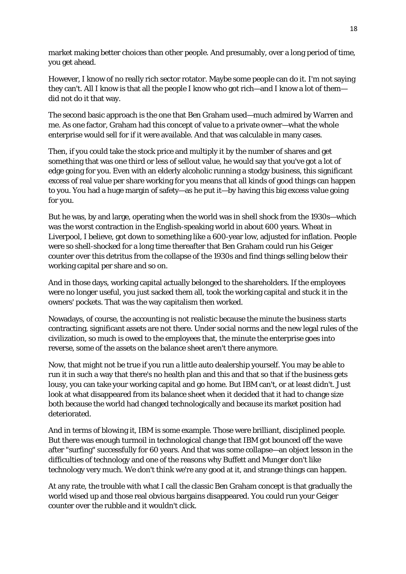market making better choices than other people. And presumably, over a long period of time, you get ahead.

However, I know of no really rich sector rotator. Maybe some people can do it. I'm not saying they can't. All I know is that all the people I know who got rich—and I know a lot of them did not do it that way.

The second basic approach is the one that Ben Graham used—much admired by Warren and me. As one factor, Graham had this concept of value to a private owner—what the whole enterprise would sell for if it were available. And that was calculable in many cases.

Then, if you could take the stock price and multiply it by the number of shares and get something that was one third or less of sellout value, he would say that you've got a lot of edge going for you. Even with an elderly alcoholic running a stodgy business, this significant excess of real value per share working for you means that all kinds of good things can happen to you. You had a huge margin of safety—as he put it—by having this big excess value going for you.

But he was, by and large, operating when the world was in shell shock from the 1930s—which was the worst contraction in the English-speaking world in about 600 years. Wheat in Liverpool, I believe, got down to something like a 600-year low, adjusted for inflation. People were so shell-shocked for a long time thereafter that Ben Graham could run his Geiger counter over this detritus from the collapse of the 1930s and find things selling below their working capital per share and so on.

And in those days, working capital actually belonged to the shareholders. If the employees were no longer useful, you just sacked them all, took the working capital and stuck it in the owners' pockets. That was the way capitalism then worked.

Nowadays, of course, the accounting is not realistic because the minute the business starts contracting, significant assets are not there. Under social norms and the new legal rules of the civilization, so much is owed to the employees that, the minute the enterprise goes into reverse, some of the assets on the balance sheet aren't there anymore.

Now, that might not be true if you run a little auto dealership yourself. You may be able to run it in such a way that there's no health plan and this and that so that if the business gets lousy, you can take your working capital and go home. But IBM can't, or at least didn't. Just look at what disappeared from its balance sheet when it decided that it had to change size both because the world had changed technologically and because its market position had deteriorated.

And in terms of blowing it, IBM is some example. Those were brilliant, disciplined people. But there was enough turmoil in technological change that IBM got bounced off the wave after "surfing" successfully for 60 years. And that was some collapse—an object lesson in the difficulties of technology and one of the reasons why Buffett and Munger don't like technology very much. We don't think we're any good at it, and strange things can happen.

At any rate, the trouble with what I call the classic Ben Graham concept is that gradually the world wised up and those real obvious bargains disappeared. You could run your Geiger counter over the rubble and it wouldn't click.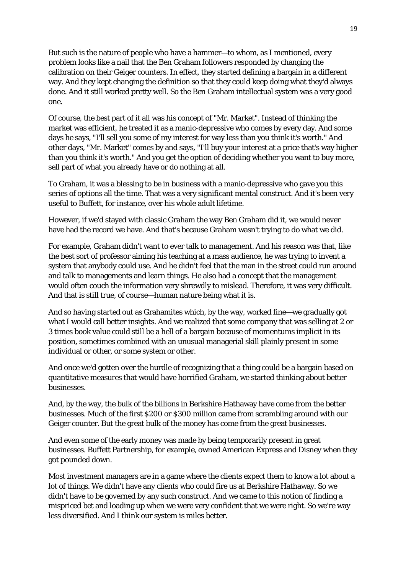But such is the nature of people who have a hammer—to whom, as I mentioned, every problem looks like a nail that the Ben Graham followers responded by changing the calibration on their Geiger counters. In effect, they started defining a bargain in a different way. And they kept changing the definition so that they could keep doing what they'd always done. And it still worked pretty well. So the Ben Graham intellectual system was a very good one.

Of course, the best part of it all was his concept of "Mr. Market". Instead of thinking the market was efficient, he treated it as a manic-depressive who comes by every day. And some days he says, "I'll sell you some of my interest for way less than you think it's worth." And other days, "Mr. Market" comes by and says, "I'll buy your interest at a price that's way higher than you think it's worth." And you get the option of deciding whether you want to buy more, sell part of what you already have or do nothing at all.

To Graham, it was a blessing to be in business with a manic-depressive who gave you this series of options all the time. That was a very significant mental construct. And it's been very useful to Buffett, for instance, over his whole adult lifetime.

However, if we'd stayed with classic Graham the way Ben Graham did it, we would never have had the record we have. And that's because Graham wasn't trying to do what we did.

For example, Graham didn't want to ever talk to management. And his reason was that, like the best sort of professor aiming his teaching at a mass audience, he was trying to invent a system that anybody could use. And he didn't feel that the man in the street could run around and talk to managements and learn things. He also had a concept that the management would often couch the information very shrewdly to mislead. Therefore, it was very difficult. And that is still true, of course—human nature being what it is.

And so having started out as Grahamites which, by the way, worked fine—we gradually got what I would call better insights. And we realized that some company that was selling at 2 or 3 times book value could still be a hell of a bargain because of momentums implicit in its position, sometimes combined with an unusual managerial skill plainly present in some individual or other, or some system or other.

And once we'd gotten over the hurdle of recognizing that a thing could be a bargain based on quantitative measures that would have horrified Graham, we started thinking about better businesses.

And, by the way, the bulk of the billions in Berkshire Hathaway have come from the better businesses. Much of the first \$200 or \$300 million came from scrambling around with our Geiger counter. But the great bulk of the money has come from the great businesses.

And even some of the early money was made by being temporarily present in great businesses. Buffett Partnership, for example, owned American Express and Disney when they got pounded down.

Most investment managers are in a game where the clients expect them to know a lot about a lot of things. We didn't have any clients who could fire us at Berkshire Hathaway. So we didn't have to be governed by any such construct. And we came to this notion of finding a mispriced bet and loading up when we were very confident that we were right. So we're way less diversified. And I think our system is miles better.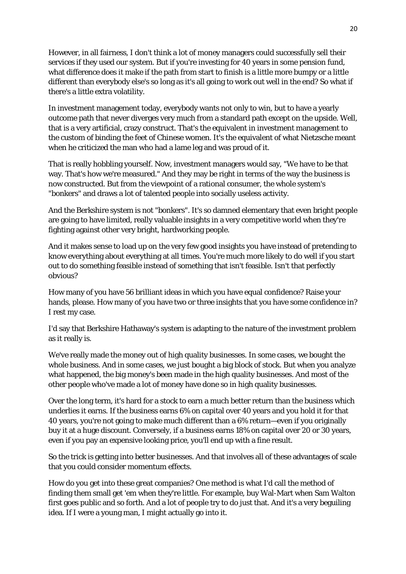However, in all fairness, I don't think a lot of money managers could successfully sell their services if they used our system. But if you're investing for 40 years in some pension fund, what difference does it make if the path from start to finish is a little more bumpy or a little different than everybody else's so long as it's all going to work out well in the end? So what if there's a little extra volatility.

In investment management today, everybody wants not only to win, but to have a yearly outcome path that never diverges very much from a standard path except on the upside. Well, that is a very artificial, crazy construct. That's the equivalent in investment management to the custom of binding the feet of Chinese women. It's the equivalent of what Nietzsche meant when he criticized the man who had a lame leg and was proud of it.

That is really hobbling yourself. Now, investment managers would say, "We have to be that way. That's how we're measured." And they may be right in terms of the way the business is now constructed. But from the viewpoint of a rational consumer, the whole system's "bonkers" and draws a lot of talented people into socially useless activity.

And the Berkshire system is not "bonkers". It's so damned elementary that even bright people are going to have limited, really valuable insights in a very competitive world when they're fighting against other very bright, hardworking people.

And it makes sense to load up on the very few good insights you have instead of pretending to know everything about everything at all times. You're much more likely to do well if you start out to do something feasible instead of something that isn't feasible. Isn't that perfectly obvious?

How many of you have 56 brilliant ideas in which you have equal confidence? Raise your hands, please. How many of you have two or three insights that you have some confidence in? I rest my case.

I'd say that Berkshire Hathaway's system is adapting to the nature of the investment problem as it really is.

We've really made the money out of high quality businesses. In some cases, we bought the whole business. And in some cases, we just bought a big block of stock. But when you analyze what happened, the big money's been made in the high quality businesses. And most of the other people who've made a lot of money have done so in high quality businesses.

Over the long term, it's hard for a stock to earn a much better return than the business which underlies it earns. If the business earns 6% on capital over 40 years and you hold it for that 40 years, you're not going to make much different than a 6% return—even if you originally buy it at a huge discount. Conversely, if a business earns 18% on capital over 20 or 30 years, even if you pay an expensive looking price, you'll end up with a fine result.

So the trick is getting into better businesses. And that involves all of these advantages of scale that you could consider momentum effects.

How do you get into these great companies? One method is what I'd call the method of finding them small get 'em when they're little. For example, buy Wal-Mart when Sam Walton first goes public and so forth. And a lot of people try to do just that. And it's a very beguiling idea. If I were a young man, I might actually go into it.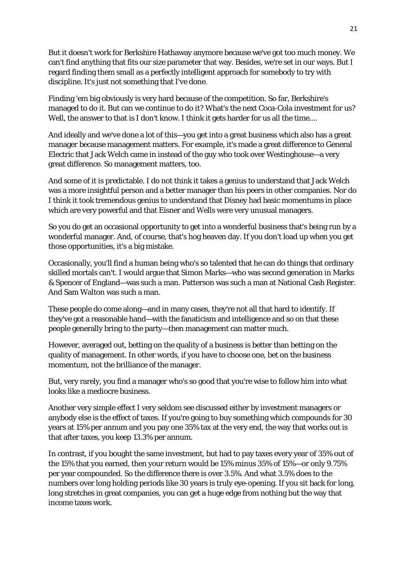But it doesn't work for Berkshire Hathaway anymore because we've got too much money. We can't find anything that fits our size parameter that way. Besides, we're set in our ways. But I regard finding them small as a perfectly intelligent approach for somebody to try with discipline. It's just not something that I've done.

Finding 'em big obviously is very hard because of the competition. So far, Berkshire's managed to do it. But can we continue to do it? What's the next Coca-Cola investment for us? Well, the answer to that is I don't know. I think it gets harder for us all the time....

And ideally and we've done a lot of this—you get into a great business which also has a great manager because management matters. For example, it's made a great difference to General Electric that Jack Welch came in instead of the guy who took over Westinghouse—a very great difference. So management matters, too.

And some of it is predictable. I do not think it takes a genius to understand that Jack Welch was a more insightful person and a better manager than his peers in other companies. Nor do I think it took tremendous genius to understand that Disney had basic momentums in place which are very powerful and that Eisner and Wells were very unusual managers.

So you do get an occasional opportunity to get into a wonderful business that's being run by a wonderful manager. And, of course, that's hog heaven day. If you don't load up when you get those opportunities, it's a big mistake.

Occasionally, you'll find a human being who's so talented that he can do things that ordinary skilled mortals can't. I would argue that Simon Marks—who was second generation in Marks & Spencer of England—was such a man. Patterson was such a man at National Cash Register. And Sam Walton was such a man.

These people do come along—and in many cases, they're not all that hard to identify. If they've got a reasonable hand—with the fanaticism and intelligence and so on that these people generally bring to the party—then management can matter much.

However, averaged out, betting on the quality of a business is better than betting on the quality of management. In other words, if you have to choose one, bet on the business momentum, not the brilliance of the manager.

But, very rarely, you find a manager who's so good that you're wise to follow him into what looks like a mediocre business.

Another very simple effect I very seldom see discussed either by investment managers or anybody else is the effect of taxes. If you're going to buy something which compounds for 30 years at 15% per annum and you pay one 35% tax at the very end, the way that works out is that after taxes, you keep 13.3% per annum.

In contrast, if you bought the same investment, but had to pay taxes every year of 35% out of the 15% that you earned, then your return would be 15% minus 35% of 15%—or only 9.75% per year compounded. So the difference there is over 3.5%. And what 3.5% does to the numbers over long holding periods like 30 years is truly eye-opening. If you sit back for long, long stretches in great companies, you can get a huge edge from nothing but the way that income taxes work.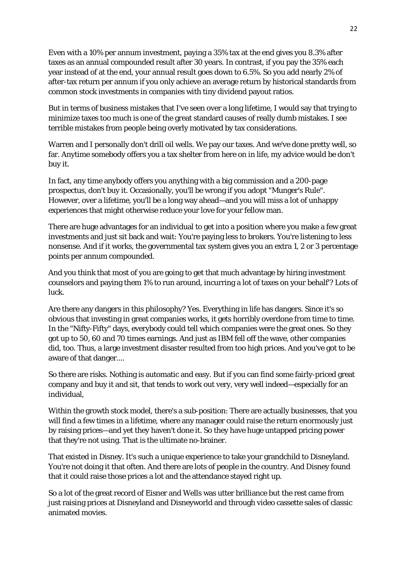Even with a 10% per annum investment, paying a 35% tax at the end gives you 8.3% after taxes as an annual compounded result after 30 years. In contrast, if you pay the 35% each year instead of at the end, your annual result goes down to 6.5%. So you add nearly 2% of after-tax return per annum if you only achieve an average return by historical standards from common stock investments in companies with tiny dividend payout ratios.

But in terms of business mistakes that I've seen over a long lifetime, I would say that trying to minimize taxes too much is one of the great standard causes of really dumb mistakes. I see terrible mistakes from people being overly motivated by tax considerations.

Warren and I personally don't drill oil wells. We pay our taxes. And we've done pretty well, so far. Anytime somebody offers you a tax shelter from here on in life, my advice would be don't buy it.

In fact, any time anybody offers you anything with a big commission and a 200-page prospectus, don't buy it. Occasionally, you'll be wrong if you adopt "Munger's Rule". However, over a lifetime, you'll be a long way ahead—and you will miss a lot of unhappy experiences that might otherwise reduce your love for your fellow man.

There are huge advantages for an individual to get into a position where you make a few great investments and just sit back and wait: You're paying less to brokers. You're listening to less nonsense. And if it works, the governmental tax system gives you an extra 1, 2 or 3 percentage points per annum compounded.

And you think that most of you are going to get that much advantage by hiring investment counselors and paying them 1% to run around, incurring a lot of taxes on your behalf'? Lots of luck.

Are there any dangers in this philosophy? Yes. Everything in life has dangers. Since it's so obvious that investing in great companies works, it gets horribly overdone from time to time. In the "Nifty-Fifty" days, everybody could tell which companies were the great ones. So they got up to 50, 60 and 70 times earnings. And just as IBM fell off the wave, other companies did, too. Thus, a large investment disaster resulted from too high prices. And you've got to be aware of that danger....

So there are risks. Nothing is automatic and easy. But if you can find some fairly-priced great company and buy it and sit, that tends to work out very, very well indeed—especially for an individual,

Within the growth stock model, there's a sub-position: There are actually businesses, that you will find a few times in a lifetime, where any manager could raise the return enormously just by raising prices—and yet they haven't done it. So they have huge untapped pricing power that they're not using. That is the ultimate no-brainer.

That existed in Disney. It's such a unique experience to take your grandchild to Disneyland. You're not doing it that often. And there are lots of people in the country. And Disney found that it could raise those prices a lot and the attendance stayed right up.

So a lot of the great record of Eisner and Wells was utter brilliance but the rest came from just raising prices at Disneyland and Disneyworld and through video cassette sales of classic animated movies.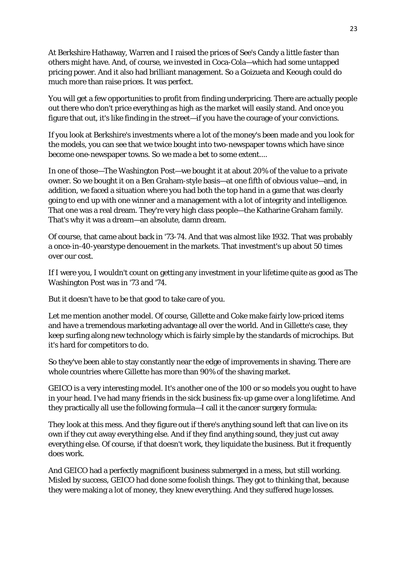At Berkshire Hathaway, Warren and I raised the prices of See's Candy a little faster than others might have. And, of course, we invested in Coca-Cola—which had some untapped pricing power. And it also had brilliant management. So a Goizueta and Keough could do much more than raise prices. It was perfect.

You will get a few opportunities to profit from finding underpricing. There are actually people out there who don't price everything as high as the market will easily stand. And once you figure that out, it's like finding in the street—if you have the courage of your convictions.

If you look at Berkshire's investments where a lot of the money's been made and you look for the models, you can see that we twice bought into two-newspaper towns which have since become one-newspaper towns. So we made a bet to some extent....

In one of those—The Washington Post—we bought it at about 20% of the value to a private owner. So we bought it on a Ben Graham-style basis—at one fifth of obvious value—and, in addition, we faced a situation where you had both the top hand in a game that was clearly going to end up with one winner and a management with a lot of integrity and intelligence. That one was a real dream. They're very high class people—the Katharine Graham family. That's why it was a dream—an absolute, damn dream.

Of course, that came about back in '73-74. And that was almost like 1932. That was probably a once-in-40-yearstype denouement in the markets. That investment's up about 50 times over our cost.

If I were you, I wouldn't count on getting any investment in your lifetime quite as good as The Washington Post was in '73 and '74.

But it doesn't have to be that good to take care of you.

Let me mention another model. Of course, Gillette and Coke make fairly low-priced items and have a tremendous marketing advantage all over the world. And in Gillette's case, they keep surfing along new technology which is fairly simple by the standards of microchips. But it's hard for competitors to do.

So they've been able to stay constantly near the edge of improvements in shaving. There are whole countries where Gillette has more than 90% of the shaving market.

GEICO is a very interesting model. It's another one of the 100 or so models you ought to have in your head. I've had many friends in the sick business fix-up game over a long lifetime. And they practically all use the following formula—I call it the cancer surgery formula:

They look at this mess. And they figure out if there's anything sound left that can live on its own if they cut away everything else. And if they find anything sound, they just cut away everything else. Of course, if that doesn't work, they liquidate the business. But it frequently does work.

And GEICO had a perfectly magnificent business submerged in a mess, but still working. Misled by success, GEICO had done some foolish things. They got to thinking that, because they were making a lot of money, they knew everything. And they suffered huge losses.